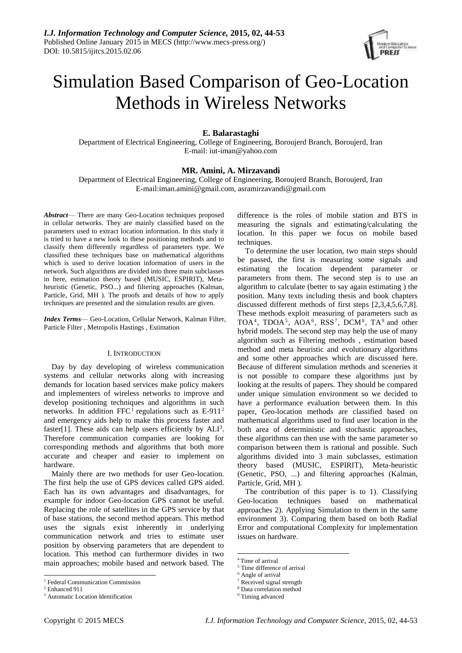

# Simulation Based Comparison of Geo-Location Methods in Wireless Networks

# **E. Balarastaghi**

Department of Electrical Engineering, College of Engineering, Boroujerd Branch, Boroujerd, Iran E-mail: iut-iman@yahoo.com

# **MR. Amini, A. Mirzavandi**

Department of Electrical Engineering, College of Engineering, Boroujerd Branch, Boroujerd, Iran E-mail:iman.amini@gmail.com, asramirzavandi@gmail.com

*Abstract*— There are many Geo-Location techniques proposed in cellular networks. They are mainly classified based on the parameters used to extract location information. In this study it is tried to have a new look to these positioning methods and to classify them differently regardless of parameters type. We classified these techniques base on mathematical algorithms which is used to derive location information of users in the network. Such algorithms are divided into three main subclasses in here, estimation theory based (MUSIC, ESPIRIT), Metaheuristic (Genetic, PSO...) and filtering approaches (Kalman, Particle, Grid, MH ). The proofs and details of how to apply techniques are presented and the simulation results are given.

*Index Terms*— Geo-Location, Cellular Network, Kalman Filter, Particle Filter , Metropolis Hastings , Estimation

#### I. INTRODUCTION

Day by day developing of wireless communication systems and cellular networks along with increasing demands for location based services make policy makers and implementers of wireless networks to improve and develop positioning techniques and algorithms in such networks. In addition FFC<sup>1</sup> regulations such as E-911<sup>2</sup> and emergency aids help to make this process faster and faster[1]. These aids can help users efficiently by  $ALI<sup>3</sup>$ . Therefore communication companies are looking for corresponding methods and algorithms that both more accurate and cheaper and easier to implement on hardware.

Mainly there are two methods for user Geo-location. The first help the use of GPS devices called GPS aided. Each has its own advantages and disadvantages, for example for indoor Geo-location GPS cannot be useful. Replacing the role of satellites in the GPS service by that of base stations, the second method appears. This method uses the signals exist inherently in underlying communication network and tries to estimate user position by observing parameters that are dependent to location. This method can furthermore divides in two main approaches; mobile based and network based. The

-

difference is the roles of mobile station and BTS in measuring the signals and estimating/calculating the location. In this paper we focus on mobile based techniques.

To determine the user location, two main steps should be passed, the first is measuring some signals and estimating the location dependent parameter or parameters from them. The second step is to use an algorithm to calculate (better to say again estimating ) the position. Many texts including thesis and book chapters discussed different methods of first steps [2,3,4,5,6,7,8]. These methods exploit measuring of parameters such as TOA<sup>4</sup>, TDOA<sup>5</sup>, AOA<sup>6</sup>, RSS<sup>7</sup>, DCM<sup>8</sup>, TA<sup>9</sup> and other hybrid models. The second step may help the use of many algorithm such as Filtering methods , estimation based method and meta heuristic and evolutionary algorithms and some other approaches which are discussed here. Because of different simulation methods and sceneries it is not possible to compare these algorithms just by looking at the results of papers. They should be compared under unique simulation environment so we decided to have a performance evaluation between them. In this paper, Geo-location methods are classified based on mathematical algorithms used to find user location in the both area of deterministic and stochastic approaches, these algorithms can then use with the same parameter so comparison between them is rational and possible. Such algorithms divided into 3 main subclasses, estimation theory based (MUSIC, ESPIRIT), Meta-heuristic (Genetic, PSO, ...) and filtering approaches (Kalman, Particle, Grid, MH ).

The contribution of this paper is to 1). Classifying Geo-location techniques based on mathematical approaches 2). Applying Simulation to them in the same environment 3). Comparing them based on both Radial Error and computational Complexity for implementation issues on hardware.

 $\overline{a}$ 

<sup>&</sup>lt;sup>1</sup> Federal Communication Commission

<sup>2</sup> Enhanced 911

<sup>3</sup> Automatic Location Identification

<sup>4</sup> Time of arrival

<sup>5</sup> Time difference of arrival

<sup>6</sup> Angle of arrival

<sup>7</sup> Received signal strength

<sup>8</sup> Data correlation method

<sup>&</sup>lt;sup>9</sup> Timing advanced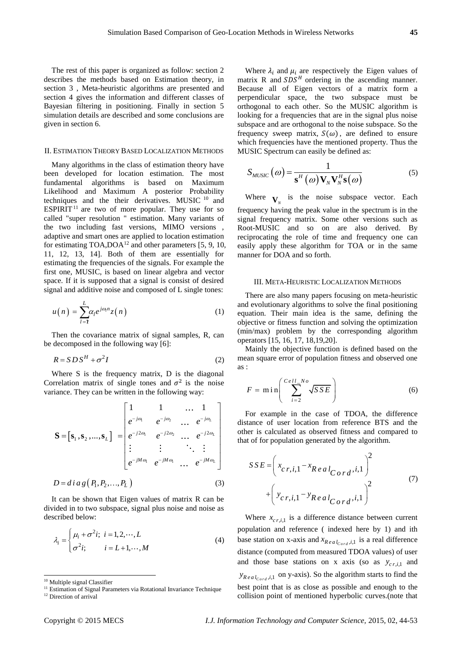The rest of this paper is organized as follow: section 2 describes the methods based on Estimation theory, in section 3 , Meta-heuristic algorithms are presented and section 4 gives the information and different classes of Bayesian filtering in positioning. Finally in section 5 simulation details are described and some conclusions are given in section 6.

### II. ESTIMATION THEORY BASED LOCALIZATION METHODS

Many algorithms in the class of estimation theory have been developed for location estimation. The most fundamental algorithms is based on Maximum Likelihood and Maximum A posterior Probability techniques and the their derivatives. MUSIC <sup>10</sup> and ESPIRIT<sup>11</sup> are two of more popular. They use for so called "super resolution " estimation. Many variants of the two including fast versions, MIMO versions , adaptive and smart ones are applied to location estimation for estimating  $TOA, DOA<sup>12</sup>$  and other parameters [5, 9, 10, 11, 12, 13, 14]. Both of them are essentially for estimating the frequencies of the signals. For example the first one, MUSIC, is based on linear algebra and vector space. If it is supposed that a signal is consist of desired signal and additive noise and composed of L single tones:

$$
u(n) = \sum_{l=1}^{L} \alpha_l e^{j\omega_l n} z(n)
$$
 (1)

Then the covariance matrix of signal samples, R, can be decomposed in the following way [6]:

$$
R = SDS^H + \sigma^2 I \tag{2}
$$

Where S is the frequency matrix, D is the diagonal Correlation matrix of single tones and  $\sigma^2$  is the noise

variance. They can be written in the following way:  
\n
$$
\mathbf{S} = [\mathbf{s}_1, \mathbf{s}_2, ..., \mathbf{s}_L] = \begin{bmatrix}\n1 & 1 & ... & 1 \\
e^{-j\omega_1} & e^{-j\omega_2} & ... & e^{-j\omega_L} \\
e^{-j2\omega_1} & e^{-j2\omega_2} & ... & e^{-j2\omega_L} \\
\vdots & \vdots & \ddots & \vdots \\
e^{-jM\omega_1} & e^{-jM\omega_1} & ... & e^{-jM\omega_L}\n\end{bmatrix}
$$

It can be shown that Eigen values of matrix R can be divided in to two subspace, signal plus noise and noise as described below:

$$
\lambda_i = \begin{cases} \mu_i + \sigma^2 i; \ i = 1, 2, \cdots, L \\ \sigma^2 i; \quad i = L+1, \cdots, M \end{cases} \tag{4}
$$

-

Where  $\lambda_i$  and  $\mu_i$  are respectively the Eigen values of matrix R and  $SDS<sup>H</sup>$  ordering in the ascending manner. Because all of Eigen vectors of a matrix form a perpendicular space, the two subspace must be orthogonal to each other. So the MUSIC algorithm is looking for a frequencies that are in the signal plus noise subspace and are orthogonal to the noise subspace. So the frequency sweep matrix,  $S(\omega)$ , are defined to ensure which frequencies have the mentioned property. Thus the MUSIC Spectrum can easily be defined as:

$$
S_{MUSIC}(\omega) = \frac{1}{\mathbf{s}^H(\omega) \mathbf{V}_N \mathbf{V}_N^H \mathbf{s}(\omega)}
$$
(5)

Where  $\mathbf{V}_N$  is the noise subspace vector. Each frequency having the peak value in the spectrum is in the signal frequency matrix. Some other versions such as Root-MUSIC and so on are also derived. By reciprocating the role of time and frequency one can easily apply these algorithm for TOA or in the same manner for DOA and so forth.

#### III. META-HEURISTIC LOCALIZATION METHODS

There are also many papers focusing on meta-heuristic and evolutionary algorithms to solve the final positioning equation. Their main idea is the same, defining the objective or fitness function and solving the optimization (min/max) problem by the corresponding algorithm operators [15, 16, 17, 18,19,20].

Mainly the objective function is defined based on the mean square error of population fitness and observed one as :

$$
F = \min\left(\sum_{i=2}^{Cell\_No} \sqrt{SSE}\right)
$$
 (6)

For example in the case of TDOA, the difference distance of user location from reference BTS and the other is calculated as observed fitness and compared to that of for population generated by the algorithm.

$$
SSE = \left(x_{c,r,i,1} - x_{RealCord}, i, 1\right)^{2} + \left(y_{c,r,i,1} - y_{RealCord}, i, 1\right)^{2}
$$
 (7)

Where  $x_{cr,i,1}$  is a difference distance between current population and reference ( indexed here by 1) and ith base station on x-axis and  $x_{Real_{Card},i,1}$  is a real difference distance (computed from measured TDOA values) of user and those base stations on x axis (so as  $y_{cr,i,1}$  and  $y_{Real_{Card,i,1}}$  on y-axis). So the algorithm starts to find the best point that is as close as possible and enough to the collision point of mentioned hyperbolic curves.(note that

<sup>10</sup> Multiple signal Classifier

<sup>&</sup>lt;sup>11</sup> Estimation of Signal Parameters via Rotational Invariance Technique

<sup>&</sup>lt;sup>12</sup> Direction of arrival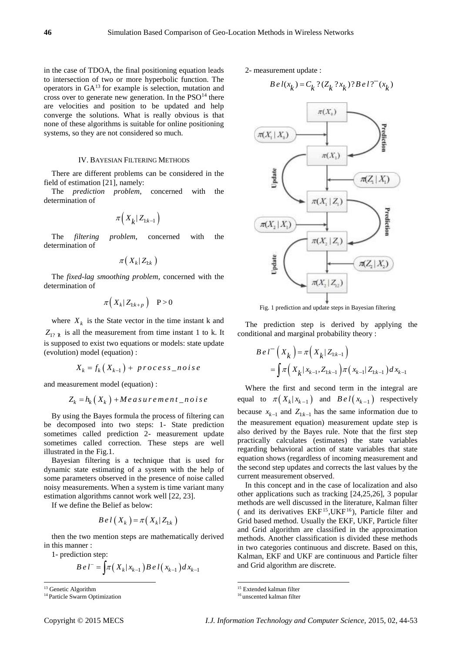in the case of TDOA, the final positioning equation leads to intersection of two or more hyperbolic function. The operators in GA<sup>13</sup> for example is selection, mutation and cross over to generate new generation. In the  $PSO<sup>14</sup>$  there are velocities and position to be updated and help converge the solutions. What is really obvious is that none of these algorithms is suitable for online positioning systems, so they are not considered so much.

### IV. BAYESIAN FILTERING METHODS

There are different problems can be considered in the field of estimation [21], namely:

The *prediction problem*, concerned with the determination of

$$
\pi\Big(X_k|Z_{1:k-1}\Big)
$$

The *filtering problem*, concerned with the determination of

$$
\pi\big(\,X_{k}\vert\,Z_{1:k}\,\big)
$$

The *fixed-lag smoothing problem*, concerned with the determination of

$$
\pi\Big(\,X_k\,\big|\,Z_{1:k+p}\,\Big)\quad\text{P} > 0
$$

where  $X_k$  is the State vector in the time instant k and  $Z_{1? k}$  is all the measurement from time instant 1 to k. It is supposed to exist two equations or models: state update (evolution) model (equation) :

$$
X_k = f_k(X_{k-1}) + \text{process\_noise}
$$

and measurement model (equation) :

$$
Z_k = h_k(X_k) + Measurement\_noise
$$

By using the Bayes formula the process of filtering can be decomposed into two steps: 1- State prediction sometimes called prediction 2- measurement update sometimes called correction. These steps are well illustrated in the Fig.1.

Bayesian filtering is a technique that is used for dynamic state estimating of a system with the help of some parameters observed in the presence of noise called noisy measurements. When a system is time variant many estimation algorithms cannot work well [22, 23].

If we define the Belief as below:

$$
B\,e\,l\left(\,X_{k}\,\right)=\pi\left(\,X_{k}\,|\,Z_{1:k}\,\right)
$$

then the two mention steps are mathematically derived in this manner :

1- prediction step:

$$
Be l^{-} = \int \pi (X_k | x_{k-1}) Be l(x_{k-1}) dx_{k-1}
$$

-

2- measurement update :

$$
B \, e \, l(x_k) = C_k \, ?(Z_k \, ?x_k) ? B \, e \, l \, ?^-(x_k)
$$



Fig. 1 prediction and update steps in Bayesian filtering

The prediction step is derived by applying the conditional and marginal probability theory :

$$
B e l^{-} (X_k) = \pi (X_k | Z_{1:k-1})
$$
  
=  $\int \pi (X_k | x_{k-1}, Z_{1:k-1}) \pi (x_{k-1} | Z_{1:k-1}) dx_{k-1}$ 

Where the first and second term in the integral are equal to  $\pi(X_k | x_{k-1})$  and  $B \cdot l(x_{k-1})$  respectively because  $x_{k-1}$  and  $Z_{1:k-1}$  has the same information due to the measurement equation) measurement update step is also derived by the Bayes rule. Note that the first step practically calculates (estimates) the state variables regarding behavioral action of state variables that state equation shows (regardless of incoming measurement and the second step updates and corrects the last values by the current measurement observed.

In this concept and in the case of localization and also other applications such as tracking [24,25,26], 3 popular methods are well discussed in the literature, Kalman filter ( and its derivatives EKF<sup>15</sup>,UKF<sup>16</sup> ), Particle filter and Grid based method. Usually the EKF, UKF, Particle filter and Grid algorithm are classified in the approximation methods. Another classification is divided these methods in two categories continuous and discrete. Based on this, Kalman, EKF and UKF are continuous and Particle filter and Grid algorithm are discrete.

 $\overline{\phantom{a}}$ 

<sup>&</sup>lt;sup>13</sup> Genetic Algorithm

<sup>&</sup>lt;sup>14</sup> Particle Swarm Optimization

<sup>15</sup> Extended kalman filter

<sup>16</sup> unscented kalman filter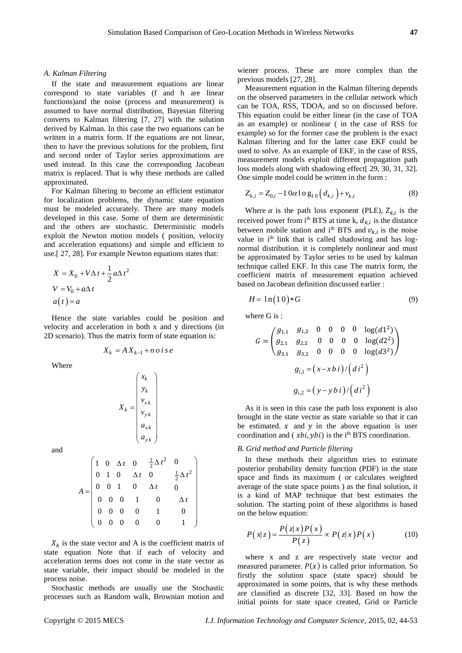#### *A. Kalman Filtering*

If the state and measurement equations are linear correspond to state variables (f and h are linear functions)and the noise (process and measurement) is assumed to have normal distribution, Bayesian filtering converts to Kalman filtering [7, 27] with the solution derived by Kalman. In this case the two equations can be written in a matrix form. If the equations are not linear, then to have the previous solutions for the problem, first and second order of Taylor series approximations are used instead. In this case the corresponding Jacobean matrix is replaced. That is why these methods are called approximated.

For Kalman filtering to become an efficient estimator for localization problems, the dynamic state equation must be modeled accurately. There are many models developed in this case. Some of them are deterministic and the others are stochastic. Deterministic models exploit the Newton motion models ( position, velocity and acceleration equations) and simple and efficient to use.[ 27, 28]. For example Newton equations states that:

$$
X = X_0 + V\Delta t + \frac{1}{2}a\Delta t^2
$$
  

$$
V = V_0 + a\Delta t
$$
  

$$
a(t) = a
$$

Hence the state variables could be position and velocity and acceleration in both x and y directions (in 2D scenario). Thus the matrix form of state equation is:

$$
X_k = A X_{k-1} + n \, o \, i \, s \, e
$$

Where

$$
X_k = \begin{pmatrix} x_k \\ y_k \\ v_{xk} \\ v_{yk} \\ a_{xk} \\ a_{yk} \end{pmatrix}
$$

and

$$
A = \begin{pmatrix} 1 & 0 & \Delta t & 0 & \frac{1}{2}\Delta t^2 & 0 \\ 0 & 1 & 0 & \Delta t & 0 & \frac{1}{2}\Delta t^2 \\ 0 & 0 & 1 & 0 & \Delta t & 0 \\ 0 & 0 & 0 & 1 & 0 & \Delta t \\ 0 & 0 & 0 & 0 & 1 & 0 \\ 0 & 0 & 0 & 0 & 0 & 1 \end{pmatrix}
$$

 $X_k$  is the state vector and A is the coefficient matrix of state equation Note that if each of velocity and acceleration terms does not come in the state vector as state variable, their impact should be modeled in the process noise.

Stochastic methods are usually use the Stochastic processes such as Random walk, Brownian motion and wiener process. These are more complex than the previous models [27, 28].

Measurement equation in the Kalman filtering depends on the observed parameters in the cellular network which can be TOA, RSS, TDOA, and so on discussed before. This equation could be either linear (in the case of TOA as an example) or nonlinear ( in the case of RSS for example) so for the former case the problem is the exact Kalman filtering and for the latter case EKF could be used to solve. As an example of EKF, in the case of RSS, measurement models exploit different propagation path loss models along with shadowing effect[ 29, 30, 31, 32]. One simple model could be written in the form :

$$
Z_{k,i} = Z_{0,i} - 10\alpha \log_{10} (d_{k,i}) + v_{k,i}
$$
 (8)

Where  $\alpha$  is the path loss exponent (PLE),  $Z_{k,i}$  is the received power from  $i<sup>th</sup>$  BTS at time k,  $d_{k,i}$  is the distance between mobile station and  $i<sup>th</sup>$  BTS and  $v_{k,i}$  is the noise value in i<sup>th</sup> link that is called shadowing and has lognormal distribution. it is completely nonlinear and must be approximated by Taylor series to be used by kalman technique called EKF. In this case The matrix form, the coefficient matrix of measurement equation achieved based on Jacobean definition discussed earlier :

$$
H = \ln(10) * G \tag{9}
$$

where G is :

$$
G = \begin{pmatrix} g_{1,1} & g_{1,2} & 0 & 0 & 0 & 0 & \log(d1^2) \\ g_{2,1} & g_{2,2} & 0 & 0 & 0 & 0 & \log(d2^2) \\ g_{3,1} & g_{3,2} & 0 & 0 & 0 & 0 & \log(d3^2) \end{pmatrix}
$$

$$
g_{i,1} = (x - xbi) / (di^2)
$$

$$
g_{i,2} = (y - ybi) / (di^2)
$$

As it is seen in this case the path loss exponent is also brought in the state vector as state variable so that it can be estimated.  $x$  and  $y$  in the above equation is user coordination and  $(xbi, ybi)$  is the i<sup>th</sup> BTS coordination.

#### *B. Grid method and Particle filtering*

In these methods their algorithm tries to estimate posterior probability density function (PDF) in the state space and finds its maximum ( or calculates weighted average of the state space points ) as the final solution, it is a kind of MAP technique that best estimates the solution. The starting point of these algorithms is based on the below equation:

$$
P(x|z) = \frac{P(z|x)P(x)}{P(z)} \propto P(z|x)P(x)
$$
 (10)

where x and z are respectively state vector and measured parameter.  $P(x)$  is called prior information. So firstly the solution space (state space) should be approximated in some points, that is why these methods are classified as discrete [32, 33]. Based on how the initial points for state space created, Grid or Particle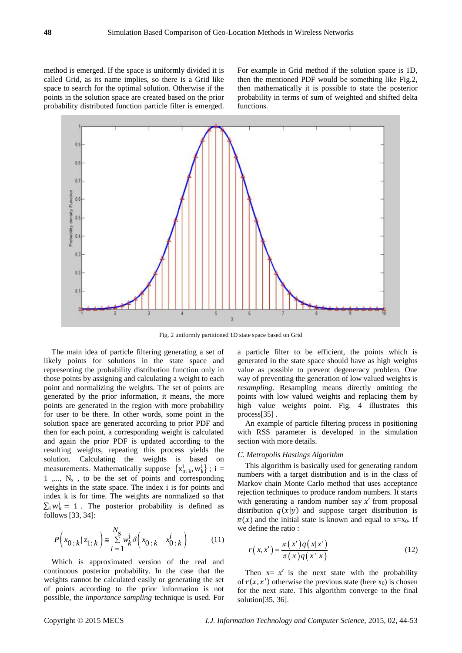method is emerged. If the space is uniformly divided it is called Grid, as its name implies, so there is a Grid like space to search for the optimal solution. Otherwise if the points in the solution space are created based on the prior probability distributed function particle filter is emerged.

For example in Grid method if the solution space is 1D, then the mentioned PDF would be something like Fig.2, then mathematically it is possible to state the posterior probability in terms of sum of weighted and shifted delta functions.



Fig. 2 uniformly partitioned 1D state space based on Grid

The main idea of particle filtering generating a set of likely points for solutions in the state space and representing the probability distribution function only in those points by assigning and calculating a weight to each point and normalizing the weights. The set of points are generated by the prior information, it means, the more points are generated in the region with more probability for user to be there. In other words, some point in the solution space are generated according to prior PDF and then for each point, a corresponding weight is calculated and again the prior PDF is updated according to the resulting weights, repeating this process yields the solution. Calculating the weights is based on measurements. Mathematically suppose  $\{x_0^i, x, w_k^i\}$ ; i =  $1, \ldots, N_s$ , to be the set of points and corresponding weights in the state space. The index i is for points and index k is for time. The weights are normalized so that  $\Sigma_i w_k^i = 1$ . The posterior probability is defined as follows [33, 34]:

$$
P\left(x_{0\,:\,k} \mid z_{1\,:\,k}\right) \cong \sum_{i=1}^{N_s} w_k^i \delta\left(x_{0\,:\,k} - x_{0\,:\,k}^i\right) \tag{11}
$$

Which is approximated version of the real and continuous posterior probability. In the case that the weights cannot be calculated easily or generating the set of points according to the prior information is not possible, the *importance sampling* technique is used. For a particle filter to be efficient, the points which is generated in the state space should have as high weights value as possible to prevent degeneracy problem. One way of preventing the generation of low valued weights is *resampling*. Resampling means directly omitting the points with low valued weights and replacing them by high value weights point. Fig. 4 illustrates this process[35].

An example of particle filtering process in positioning with RSS parameter is developed in the simulation section with more details.

#### *C. Metropolis Hastings Algorithm*

This algorithm is basically used for generating random numbers with a target distribution and is in the class of Markov chain Monte Carlo method that uses acceptance rejection techniques to produce random numbers. It starts with generating a random number say  $x'$  from proposal distribution  $q(x|y)$  and suppose target distribution is  $\pi(x)$  and the initial state is known and equal to x=x<sub>0</sub>. If we define the ratio :

$$
r(x,x') = \frac{\pi(x')q(x|x')}{\pi(x)q(x'|x)}
$$
\n(12)

Then  $x = x'$  is the next state with the probability of  $r(x, x')$  otherwise the previous state (here  $x_0$ ) is chosen for the next state. This algorithm converge to the final solution[35, 36].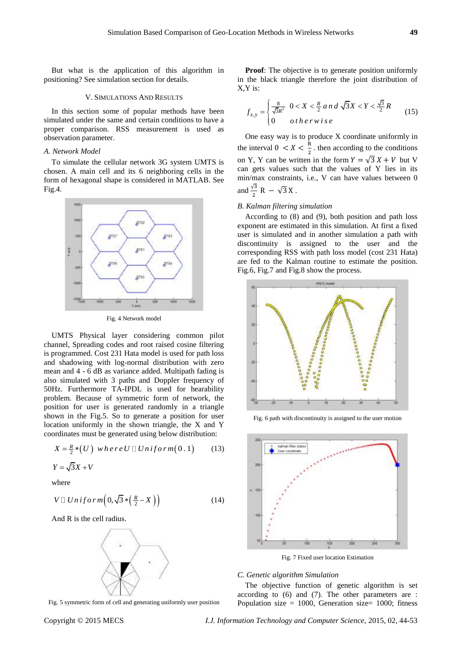But what is the application of this algorithm in positioning? See simulation section for details.

#### V. SIMULATIONS AND RESULTS

In this section some of popular methods have been simulated under the same and certain conditions to have a proper comparison. RSS measurement is used as observation parameter.

### *A. Network Model*

To simulate the cellular network 3G system UMTS is chosen. A main cell and its 6 neighboring cells in the form of hexagonal shape is considered in MATLAB. See Fig.4.



Fig. 4 Network model

UMTS Physical layer considering common pilot channel, Spreading codes and root raised cosine filtering is programmed. Cost 231 Hata model is used for path loss and shadowing with log-normal distribution with zero mean and 4 - 6 dB as variance added. Multipath fading is also simulated with 3 paths and Doppler frequency of 50Hz. Furthermore TA-IPDL is used for hearability problem. Because of symmetric form of network, the position for user is generated randomly in a triangle shown in the Fig.5. So to generate a position for user location uniformly in the shown triangle, the X and Y

coordinates must be generated using below distribution:  
\n
$$
X = \frac{R}{2} * (U) \text{ } w \text{ } h \text{ } e \text{ } r \text{ } e \text{ } U \square \text{ } Un \text{ } if \text{ } o \text{ } rm(0.1) \tag{13}
$$

$$
Y = \sqrt{3}X + V
$$

where

$$
V \sqcup Uniform\Big(0, \sqrt{3} * \Big(\tfrac{R}{2} - X\Big)\Big) \tag{14}
$$

And R is the cell radius.



Fig. 5 symmetric form of cell and generating uniformly user position

**Proof:** The objective is to generate position uniformly in the black triangle therefore the joint distribution of X,Y is:

$$
f_{x,y} = \begin{cases} \frac{8}{\sqrt{3}R^2} & 0 < X < \frac{R}{2} \text{ and } \sqrt{3}X < Y < \frac{\sqrt{3}}{2}R \\ 0 & \text{otherwise} \end{cases} \tag{15}
$$

One easy way is to produce X coordinate uniformly in the interval  $0 \lt X \lt \frac{R}{2}$  $\frac{\pi}{2}$ . then according to the conditions on Y, Y can be written in the form  $Y = \sqrt{3} X + V$  but V can gets values such that the values of Y lies in its min/max constraints, i.e., V can have values between 0 and  $\frac{\sqrt{3}}{2}$  R –  $\sqrt{3}$  X.

## *B. Kalman filtering simulation*

According to (8) and (9), both position and path loss exponent are estimated in this simulation. At first a fixed user is simulated and in another simulation a path with discontinuity is assigned to the user and the corresponding RSS with path loss model (cost 231 Hata) are fed to the Kalman routine to estimate the position. Fig.6, Fig.7 and Fig.8 show the process.



Fig. 6 path with discontinuity is assigned to the user motion



Fig. 7 Fixed user location Estimation

## *C. Genetic algorithm Simulation*

The objective function of genetic algorithm is set according to (6) and (7). The other parameters are : Population size  $= 1000$ , Generation size  $= 1000$ ; fitness

Copyright © 2015 MECS *I.J. Information Technology and Computer Science,* 2015, 02, 44-53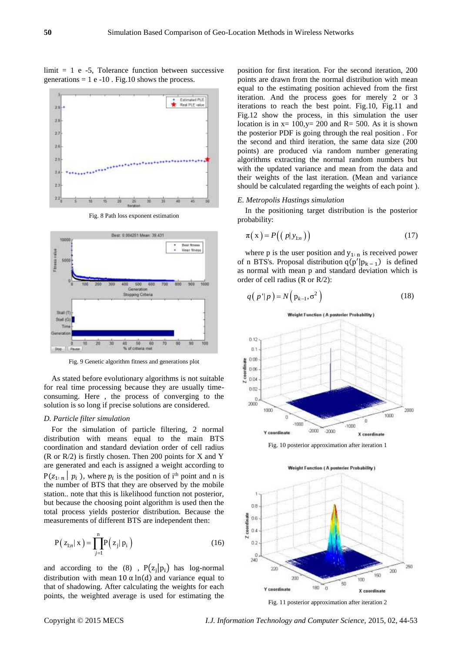# $limit = 1 e -5$ , Tolerance function between successive generations  $= 1 e -10$ . Fig.10 shows the process.



Fig. 8 Path loss exponent estimation



Fig. 9 Genetic algorithm fitness and generations plot

As stated before evolutionary algorithms is not suitable for real time processing because they are usually timeconsuming. Here , the process of converging to the solution is so long if precise solutions are considered.

#### *D. Particle filter simulation*

For the simulation of particle filtering, 2 normal distribution with means equal to the main BTS coordination and standard deviation order of cell radius (R or R/2) is firstly chosen. Then 200 points for X and Y are generated and each is assigned a weight according to  $P(z_{1:n} | p_i)$ , where  $p_i$  is the position of i<sup>th</sup> point and n is the number of BTS that they are observed by the mobile station.. note that this is likelihood function not posterior, but because the choosing point algorithm is used then the total process yields posterior distribution. Because the measurements of different BTS are independent then:

$$
P(z_{1:n} | x) = \prod_{j=1}^{n} P(z_j | p_i)
$$
 (16)

and according to the  $(8)$ ,  $P(z_j|p_i)$  has log-normal distribution with mean 10  $\alpha$  ln(d) and variance equal to that of shadowing. After calculating the weights for each points, the weighted average is used for estimating the

position for first iteration. For the second iteration, 200 points are drawn from the normal distribution with mean equal to the estimating position achieved from the first iteration. And the process goes for merely 2 or 3 iterations to reach the best point. Fig.10, Fig.11 and Fig.12 show the process, in this simulation the user location is in  $x=100$ ,  $y=200$  and  $R=500$ . As it is shown the posterior PDF is going through the real position . For the second and third iteration, the same data size (200 points) are produced via random number generating algorithms extracting the normal random numbers but with the updated variance and mean from the data and their weights of the last iteration. (Mean and variance should be calculated regarding the weights of each point ).

#### *E. Metropolis Hastings simulation*

In the positioning target distribution is the posterior probability:

$$
\pi(\mathbf{x}) = P((p|\mathbf{y}_{1:n})) \tag{17}
$$

where p is the user position and  $y_{1:n}$  is received power of n BTS's. Proposal distribution  $q(p'|p_{k-1})$  is defined as normal with mean p and standard deviation which is order of cell radius (R or R/2):

$$
q(p' | p) = N(p_{k-1}, \sigma^2)
$$
 (18)



Fig. 10 posterior approximation after iteration 1



Fig. 11 posterior approximation after iteration 2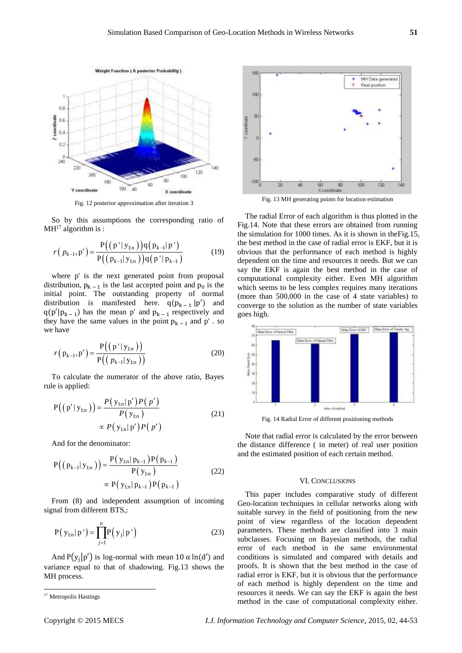

Fig. 12 posterior approximation after iteration 3

So by this assumptions the corresponding ratio of  $MH<sup>17</sup>$  algorithm is :

$$
r(p_{k-1}, p') = \frac{P((p' | y_{1:n}))q(p_{k-1} | p')}{P((p_{k-1} | y_{1:n}))q(p' | p_{k-1})}
$$
(19)

where p' is the next generated point from proposal distribution,  $p_{k-1}$  is the last accepted point and  $p_0$  is the initial point. The outstanding property of normal distribution is manifested here.  $q(p_{k-1} | p')$  and  $q(p'|p_{k-1})$  has the mean p' and  $p_{k-1}$  respectively and they have the same values in the point  $p_{k-1}$  and p' . so we have

$$
r(p_{k-1}, p') = \frac{P((p' | y_{1:n}))}{P((p_{k-1} | y_{1:n}))}
$$
\n(20)

To calculate the numerator of the above ratio, Bayes rule is applied:

$$
P((p'|y_{1:n})) = \frac{P(y_{1:n}|p')P(p')}{P(y_{1:n})}
$$
  
 
$$
\propto P(y_{1:n}|p')P(p')
$$
 (21)

And for the denominator:

$$
P((p_{k-1}|y_{1:n})) = \frac{P(y_{1:n}|p_{k-1})P(p_{k-1})}{P(y_{1:n})}
$$
  
 
$$
\propto P(y_{1:n}|p_{k-1})P(p_{k-1})
$$
 (22)

From (8) and independent assumption of incoming signal from different BTS,:

$$
P(y_{1:n} | p') = \prod_{j=1}^{n} P(y_j | p')
$$
 (23)

And  $P(y_j|p')$  is log-normal with mean 10  $\alpha$  ln(d') and variance equal to that of shadowing. Fig.13 shows the MH process.

-



Fig. 13 MH generating points for location estimation

The radial Error of each algorithm is thus plotted in the Fig.14. Note that these errors are obtained from running the simulation for 1000 times. As it is shown in theFig.15, the best method in the case of radial error is EKF, but it is obvious that the performance of each method is highly dependent on the time and resources it needs. But we can say the EKF is again the best method in the case of computational complexity either. Even MH algorithm which seems to be less complex requires many iterations (more than 500,000 in the case of 4 state variables) to converge to the solution as the number of state variables goes high.



Fig. 14 Radial Error of different positioning methods

Note that radial error is calculated by the error between the distance difference ( in meter) of real user position and the estimated position of each certain method.

#### VI. CONCLUSIONS

This paper includes comparative study of different Geo-location techniques in cellular networks along with suitable survey in the field of positioning from the new point of view regardless of the location dependent parameters. These methods are classified into 3 main subclasses. Focusing on Bayesian methods, the radial error of each method in the same environmental conditions is simulated and compared with details and proofs. It is shown that the best method in the case of radial error is EKF, but it is obvious that the performance of each method is highly dependent on the time and resources it needs. We can say the EKF is again the best method in the case of computational complexity either.

<sup>&</sup>lt;sup>17</sup> Metropolis Hastings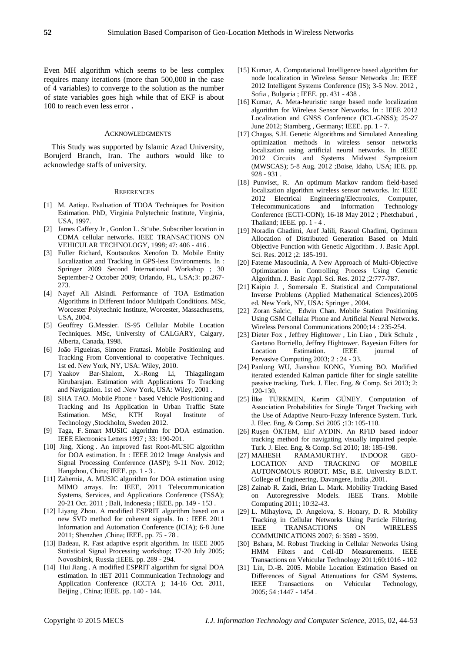Even MH algorithm which seems to be less complex requires many iterations (more than 500,000 in the case of 4 variables) to converge to the solution as the number of state variables goes high while that of EKF is about 100 to reach even less error **.**

#### **ACKNOWLEDGMENTS**

This Study was supported by Islamic Azad University, Borujerd Branch, Iran. The authors would like to acknowledge staffs of university.

#### **REFERENCES**

- [1] M. Aatiqu. Evaluation of TDOA Techniques for Position Estimation. PhD, Virginia Polytechnic Institute, Virginia, USA, 1997.
- [2] [James Caffery Jr](http://ieeexplore.ieee.org/search/searchresult.jsp?searchWithin=p_Authors:.QT.Caffery,%20J.,%20Jr..QT.&newsearch=partialPref), Gordon L. St übe. Subscriber location in CDMA cellular networks. IEEE TRANSACTIONS ON VEHICULAR TECHNOLOGY, 1998; 47: 406 - 416 .
- [3] Fuller Richard, Koutsoukos Xenofon D. Mobile Entity Localization and Tracking in GPS-less Environments. In : Springer 2009 Second International Workshop ; 30 September-2 October 2009; Orlando, FL, USA;3: pp.267- 273.
- [4] Nayef Ali Alsindi. Performance of TOA Estimation Algorithms in Different Indoor Multipath Conditions. MSc, Worcester Polytechnic Institute, Worcester, Massachusetts, USA, 2004.
- [5] Geoffrey G.Messier. IS-95 Cellular Mobile Location Techniques. MSc, University of CALGARY, Calgary, Alberta, Canada, 1998.
- [6] João Figueiras, Simone Frattasi. Mobile Positioning and Tracking From Conventional to cooperative Techniques. 1st ed. New York, NY, USA: Wiley, 2010.
- [7] Yaakov Bar-Shalom, X.-Rong Li, Thiagalingam Kirubarajan. Estimation with Applications To Tracking and Navigation. 1st ed .New York, USA: Wiley, 2001 .
- [8] SHA TAO. Mobile Phone based Vehicle Positioning and Tracking and Its Application in Urban Traffic State Estimation. MSc, KTH Royal Institute of Technology ,Stockholm, Sweden 2012.
- [9] [Taga, F.](http://ieeexplore.ieee.org/search/searchresult.jsp?searchWithin=p_Authors:.QT.Taga,%20F..QT.&newsearch=partialPref) Smart MUSIC algorithm for DOA estimation. IEE[E Electronics Letters](http://ieeexplore.ieee.org/xpl/RecentIssue.jsp?punumber=2220) 1997 ; 33: 190-201.
- [10] [Jing, Xiong](http://ieeexplore.ieee.org/search/searchresult.jsp?searchWithin=p_Authors:.QT.Jing,%20Xiong.QT.&newsearch=partialPref) . An improved fast Root-MUSIC algorithm for DOA estimation. In : IEEE 2012 [Image Analysis and](http://ieeexplore.ieee.org/xpl/mostRecentIssue.jsp?punumber=6416128)  [Signal Processing Conference \(IASP\); 9-11 Nov. 2012;](http://ieeexplore.ieee.org/xpl/mostRecentIssue.jsp?punumber=6416128)  [Hangzhou, C](http://ieeexplore.ieee.org/xpl/mostRecentIssue.jsp?punumber=6416128)hina; IEEE. pp. 1 - 3.
- [11] Zahernia, A. MUSIC algorithm for DOA estimation using MIMO arrays. In: IEEE, 2011 [Telecommunication](http://ieeexplore.ieee.org/xpl/mostRecentIssue.jsp?punumber=6093310)  [Systems, Services, and Applications Conference \(TSSA\);](http://ieeexplore.ieee.org/xpl/mostRecentIssue.jsp?punumber=6093310)  [20-21 Oct. 2011 ;](http://ieeexplore.ieee.org/xpl/mostRecentIssue.jsp?punumber=6093310) Bali, Indonesia ; IEEE. pp. 149 - 153 .
- [12] Liyang Zhou. A modified ESPRIT algorithm based on a new SVD method for coherent signals. In : IEEE 2011 [Information and Automation Conference \(ICIA\);](http://ieeexplore.ieee.org/xpl/mostRecentIssue.jsp?punumber=5936927) 6-8 June 2011; Shenzhen ,China; IEEE. pp. 75 - 78 .
- [13] Badeau, R. Fast adaptive esprit algorithm. In: IEEE 2005 [Statistical Signal Processing workshop; 17-20 July 2005;](http://ieeexplore.ieee.org/xpl/mostRecentIssue.jsp?punumber=10843)  [Novosibirsk, Russia](http://ieeexplore.ieee.org/xpl/mostRecentIssue.jsp?punumber=10843) ;IEEE. pp. 289 - 294.
- [14] [Hui Jiang](http://ieeexplore.ieee.org/search/searchresult.jsp?searchWithin=p_Authors:.QT.Hui%20Jiang.QT.&newsearch=partialPref) . A modified ESPRIT algorithm for signal DOA estimation. In :IET 2011 Communication Technology and Application Conference (ICCTA ); 14-16 Oct. 2011, Beijing , China; IEEE. pp. 140 - 144.
- [15] Kumar, A. Computational Intelligence based algorithm for node localization in Wireless Sensor Networks .In: IEEE 2012 Intelligent Systems Conference (IS); 3-5 Nov. 2012 , Sofia , Bulgaria ; IEEE. pp. 431 - 438 .
- [16] Kumar, A. Meta-heuristic range based node localization algorithm for Wireless Sensor Networks. In : IEEE 2012 Localization and GNSS Conference (ICL-GNSS); 25-27 June 2012; Starnberg , Germany; IEEE. pp. 1 - 7.
- [17] Chagas, S.H. Genetic Algorithms and Simulated Annealing optimization methods in wireless sensor networks localization using artificial neural networks. In :IEEE 2012 Circuits and Systems Midwest Symposium (MWSCAS); 5-8 Aug. 2012 ;Boise, Idaho, USA; IEE. pp. 928 - 931 .
- [18] [Punviset, R.](http://ieeexplore.ieee.org/search/searchresult.jsp?searchWithin=p_Authors:.QT.Punviset,%20R..QT.&newsearch=partialPref) An optimum Markov random field-based localization algorithm wireless sensor networks. In: IEEE 2012 Electrical Engineering/Electronics, Computer, Telecommunications and Information Technology Conference (ECTI-CON); 16-18 May 2012 ; Phetchaburi , Thailand; IEEE. pp. 1 - 4 .
- [19] Noradin Ghadimi, Aref Jalili, Rasoul Ghadimi, Optimum Allocation of Distributed Generation Based on Multi Objective Function with Genetic Algorithm . J. Basic Appl. Sci. Res. 2012 ;2: 185-191.
- [20] Fateme Masoudinia, A New Approach of Multi-Objective Optimization in Controlling Process Using Genetic Algorithm. J. Basic Appl. Sci. Res. 2012 ;2:777-787.
- [21] Kaipio J. , Somersalo E. Statistical and Computational Inverse Problems (Applied Mathematical Sciences).2005 ed. New York, NY, USA: Springer , 2004.
- [22] [Zoran Salcic,](http://link.springer.com/search?facet-author=%22Zoran+Salcic%22) [Edwin Chan.](http://link.springer.com/search?facet-author=%22Edwin+Chan%22) Mobile Station Positioning Using GSM Cellular Phone and Artificial Neural Networks. [Wireless Personal Communications](http://link.springer.com/journal/11277) 2000;14 : 235-254.
- [23] Dieter Fox , Jeffrey Hightower , Lin Liao , Dirk Schulz , Gaetano Borriello, Jeffrey Hightower. Bayesian Filters for Location Estimation. IEEE journal of [Pervasive](https://ieeexplore.ieee.org/xpl/RecentIssue.jsp?punumber=7756) Computing 2003; 2 : 24 - 33.
- [24] Panlong WU, Jianshou KONG, Yuming BO. Modified iterated extended Kalman particle filter for single satellite passive tracking. Turk. J. Elec. Eng. & Comp. Sci 2013; 2: 120-130.
- [25] İlke TÜRKMEN, Kerim GÜNEY. Computation of Association Probabilities for Single Target Tracking with the Use of Adaptive Neuro-Fuzzy Inference System. Turk. J. Elec. Eng. & Comp. Sci 2005 ;13: 105-118.
- [26] Ruşen ÖKTEM, Elif AYDIN. An RFID based indoor tracking method for navigating visually impaired people. Turk. J. Elec. Eng. & Comp. Sci 2010; 18: 185-198.
- [27] MAHESH RAMAMURTHY. INDOOR GEO-LOCATION AND TRACKING OF MOBILE AUTONOMOUS ROBOT. MSc, B.E. University B.D.T. College of Engineering[, Davangere,](http://en.wikipedia.org/wiki/Davangere) [India](http://en.wikipedia.org/wiki/India) ,2001.
- [28] Zainab R. Zaidi, Brian L. Mark. Mobility Tracking Based on Autoregressive Models. IEEE Trans. Mobile Computing 2011; 10:32-43.
- [29] L. Mihaylova, D. Angelova, S. Honary, D. R. Mobility Tracking in Cellular Networks Using Particle Filtering. IEEE TRANSACTIONS ON WIRELESS COMMUNICATIONS 2007; 6: 3589 - 3599.
- [30] [Bshara, M.](http://ieeexplore.ieee.org/search/searchresult.jsp?searchWithin=p_Authors:.QT.Bshara,%20M..QT.&newsearch=partialPref) Robust Tracking in Cellular Networks Using HMM Filters and Cell-ID Measurements. IEEE Transactions o[n Vehicular Technology 2](http://ieeexplore.ieee.org/xpl/RecentIssue.jsp?punumber=25)011;60:1016 - 102
- [31] [Lin, D.-B. 2005.](http://ieeexplore.ieee.org/search/searchresult.jsp?searchWithin=p_Authors:.QT.Lin,%20D.-B..QT.&newsearch=partialPref) Mobile Location Estimation Based on Differences of Signal Attenuations for GSM Systems. IEEE Transactions on [Vehicular Technology,](http://ieeexplore.ieee.org/xpl/RecentIssue.jsp?punumber=25) 2005; 54 :1447 - 1454 .